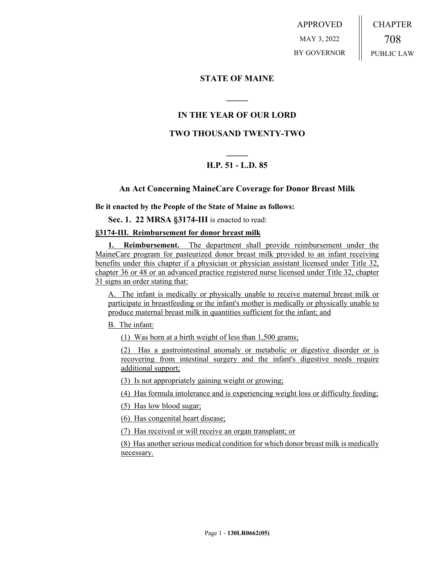APPROVED MAY 3, 2022 BY GOVERNOR CHAPTER 708 PUBLIC LAW

# **STATE OF MAINE**

# **IN THE YEAR OF OUR LORD**

**\_\_\_\_\_**

## **TWO THOUSAND TWENTY-TWO**

# **\_\_\_\_\_ H.P. 51 - L.D. 85**

## **An Act Concerning MaineCare Coverage for Donor Breast Milk**

**Be it enacted by the People of the State of Maine as follows:**

**Sec. 1. 22 MRSA §3174-III** is enacted to read:

### **§3174-III. Reimbursement for donor breast milk**

**1. Reimbursement.** The department shall provide reimbursement under the MaineCare program for pasteurized donor breast milk provided to an infant receiving benefits under this chapter if a physician or physician assistant licensed under Title 32, chapter 36 or 48 or an advanced practice registered nurse licensed under Title 32, chapter 31 signs an order stating that:

A. The infant is medically or physically unable to receive maternal breast milk or participate in breastfeeding or the infant's mother is medically or physically unable to produce maternal breast milk in quantities sufficient for the infant; and

B. The infant:

(1) Was born at a birth weight of less than 1,500 grams;

(2) Has a gastrointestinal anomaly or metabolic or digestive disorder or is recovering from intestinal surgery and the infant's digestive needs require additional support;

(3) Is not appropriately gaining weight or growing;

(4) Has formula intolerance and is experiencing weight loss or difficulty feeding;

(5) Has low blood sugar;

(6) Has congenital heart disease;

(7) Has received or will receive an organ transplant; or

(8) Has another serious medical condition for which donor breast milk is medically necessary.